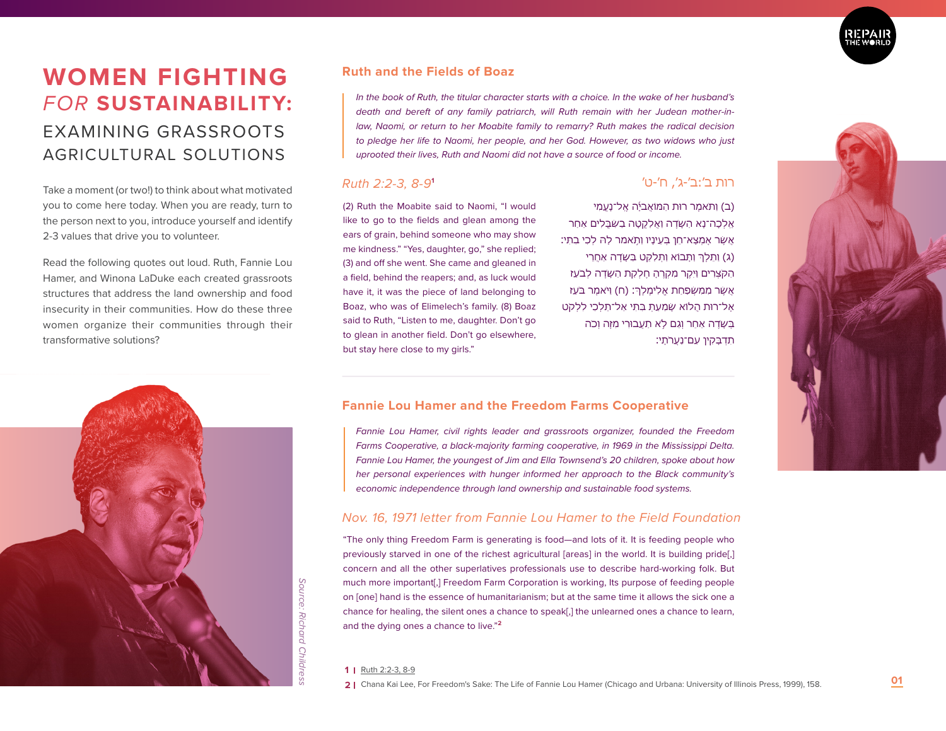

# **WOMEN FIGHTING** EXAMINING GRASSROOTS AGRICULTURAL SOLUTIONS

Take a moment (or two!) to think about what motivated you to come here today. When you are ready, turn to the person next to you, introduce yourself and identify 2-3 values that drive you to volunteer.

Read the following quotes out loud. Ruth, Fannie Lou Hamer, and Winona LaDuke each created grassroots structures that address the land ownership and food insecurity in their communities. How do these three women organize their communities through their transformative solutions?



## **Ruth and the Fields of Boaz**

*FOR* **SUSTAINABILITY:** *In the book of Ruth, the titular character starts with a choice. In the wake of her husband's death and bereft of any family patriarch, will Ruth remain with her Judean mother-in*law, Naomi, or return to her Moabite family to remarry? Ruth makes the radical decision *to pledge her life to Naomi, her people, and her God. However, as two widows who just uprooted their lives, Ruth and Naomi did not have a source of food or income.* 

## *Ruth 2:2-3, 8-9***<sup>1</sup>**

(2) Ruth the Moabite said to Naomi, "I would like to go to the fields and glean among the ears of grain, behind someone who may show me kindness." "Yes, daughter, go," she replied; (3) and off she went. She came and gleaned in a field, behind the reapers; and, as luck would have it, it was the piece of land belonging to Boaz, who was of Elimelech's family. (8) Boaz said to Ruth, "Listen to me, daughter. Don't go to glean in another field. Don't go elsewhere, but stay here close to my girls."

# רות ב׳:ב׳-ג׳, ח׳-ט׳

(ב) ותֹּאמֶר רוּת הַמּוֹאָביּה אָל־נַעֲמִי אֵ ֽלְכָה־נָּא הַשָּׂדֶ ה וַאֲלַקֳטָּה בַשִׁבֳּלִים ַאחַר ֥ אֲשֶׁר אֶמְצָא־חֵן בְּעֵינָיו וַת ֹּאמר לָּה לְכִי בִתִּי׃ (ג) וַתַּלְךְ וַתָּבוֹא וַתְּלָקֶט בַּשָּׂדָה אָחֲרֵי הַקְּצַרִים וַיקָר מַקְרָה חַלְקֶת הַשַּׂדָה לְבַעַז אֲשֶׁר מִמִּשְׁפַּחַת אֱלִימֶלְֶך׃ )ח( וַי ֹּאמֶר ב ֹּעַז ּאֶל־רוּת הֲלֹוֹא שָׁמַעַתְ בְּתִי אֱל־תֵּלְכִי לִלְקְט ַּבְּשִׂדָה אחר וגם לֹא תַעֲבוּרִי מַזֶּה וְכֹה ּתִדְבָּקִין עִם־נַעֲרֹתַי:

# **Fannie Lou Hamer and the Freedom Farms Cooperative**

*Fannie Lou Hamer, civil rights leader and grassroots organizer, founded the Freedom Farms Cooperative, a black-majority farming cooperative, in 1969 in the Mississippi Delta. Fannie Lou Hamer, the youngest of Jim and Ella Townsend's 20 children, spoke about how her personal experiences with hunger informed her approach to the Black community's economic independence through land ownership and sustainable food systems.* 

# *Nov. 16, 1971 letter from Fannie Lou Hamer to the Field Foundation*

"The only thing Freedom Farm is generating is food—and lots of it. It is feeding people who previously starved in one of the richest agricultural [areas] in the world. It is building pride[,] concern and all the other superlatives professionals use to describe hard-working folk. But much more important[,] Freedom Farm Corporation is working, Its purpose of feeding people on [one] hand is the essence of humanitarianism; but at the same time it allows the sick one a chance for healing, the silent ones a chance to speak[,] the unlearned ones a chance to learn, and the dying ones a chance to live."**<sup>2</sup>**

#### **1** Ruth 2:2-3, 8-9

**2** Chana Kai Lee, For Freedom's Sake: The Life of Fannie Lou Hamer (Chicago and Urbana: University of Illinois Press, 1999), 158. **01**